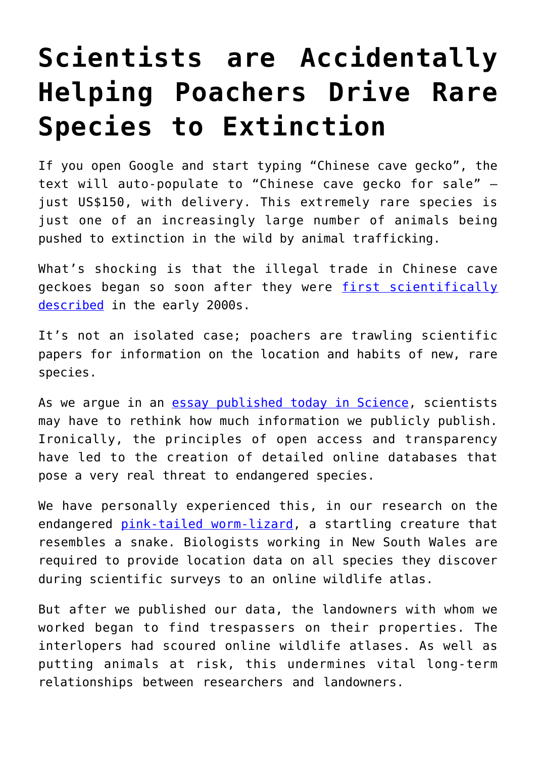## **[Scientists are Accidentally](https://intellectualtakeout.org/2017/05/scientists-are-accidentally-helping-poachers-drive-rare-species-to-extinction/) [Helping Poachers Drive Rare](https://intellectualtakeout.org/2017/05/scientists-are-accidentally-helping-poachers-drive-rare-species-to-extinction/) [Species to Extinction](https://intellectualtakeout.org/2017/05/scientists-are-accidentally-helping-poachers-drive-rare-species-to-extinction/)**

If you open Google and start typing "Chinese cave gecko", the text will auto-populate to "Chinese cave gecko for sale" – just US\$150, with delivery. This extremely rare species is just one of an increasingly large number of animals being pushed to extinction in the wild by animal trafficking.

What's shocking is that the illegal trade in Chinese cave geckoes began so soon after they were [first scientifically](http://science.sciencemag.org/content/312/5777/1137.2) [described](http://science.sciencemag.org/content/312/5777/1137.2) in the early 2000s.

It's not an isolated case; poachers are trawling scientific papers for information on the location and habits of new, rare species.

As we argue in an **[essay published today in Science](http://science.sciencemag.org/content/356/6340/800)**, scientists may have to rethink how much information we publicly publish. Ironically, the principles of open access and transparency have led to the creation of detailed online databases that pose a very real threat to endangered species.

We have personally experienced this, in our research on the endangered [pink-tailed worm-lizard,](http://www.environment.gov.au/cgi-bin/sprat/public/publicspecies.pl?taxon_id=1665) a startling creature that resembles a snake. Biologists working in New South Wales are required to provide location data on all species they discover during scientific surveys to an online wildlife atlas.

But after we published our data, the landowners with whom we worked began to find trespassers on their properties. The interlopers had scoured online wildlife atlases. As well as putting animals at risk, this undermines vital long-term relationships between researchers and landowners.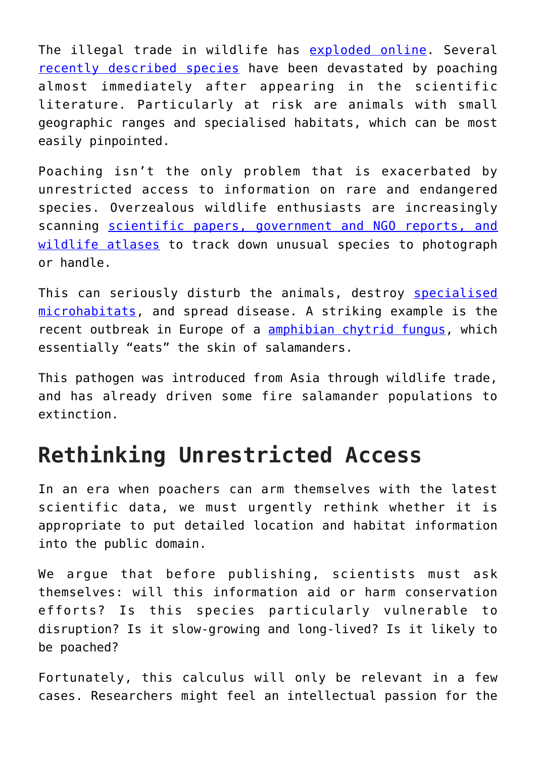The illegal trade in wildlife has [exploded online](http://onlinelibrary.wiley.com/doi/10.1111/cobi.12707/abstract). Several [recently described species](http://www.sciencedirect.com/science/article/pii/S0006320716301987) have been devastated by poaching almost immediately after appearing in the scientific literature. Particularly at risk are animals with small geographic ranges and specialised habitats, which can be most easily pinpointed.

Poaching isn't the only problem that is exacerbated by unrestricted access to information on rare and endangered species. Overzealous wildlife enthusiasts are increasingly scanning [scientific papers, government and NGO reports, and](http://science.sciencemag.org/content/356/6340/800) [wildlife atlases](http://science.sciencemag.org/content/356/6340/800) to track down unusual species to photograph or handle.

This can seriously disturb the animals, destroy [specialised](http://onlinelibrary.wiley.com/doi/10.1111/j.1469-1795.2010.00356.x/abstract) [microhabitats,](http://onlinelibrary.wiley.com/doi/10.1111/j.1469-1795.2010.00356.x/abstract) and spread disease. A striking example is the recent outbreak in Europe of a [amphibian chytrid fungus](http://science.sciencemag.org/content/346/6209/630), which essentially "eats" the skin of salamanders.

This pathogen was introduced from Asia through wildlife trade, and has already driven some fire salamander populations to extinction.

## **Rethinking Unrestricted Access**

In an era when poachers can arm themselves with the latest scientific data, we must urgently rethink whether it is appropriate to put detailed location and habitat information into the public domain.

We argue that before publishing, scientists must ask themselves: will this information aid or harm conservation efforts? Is this species particularly vulnerable to disruption? Is it slow-growing and long-lived? Is it likely to be poached?

Fortunately, this calculus will only be relevant in a few cases. Researchers might feel an intellectual passion for the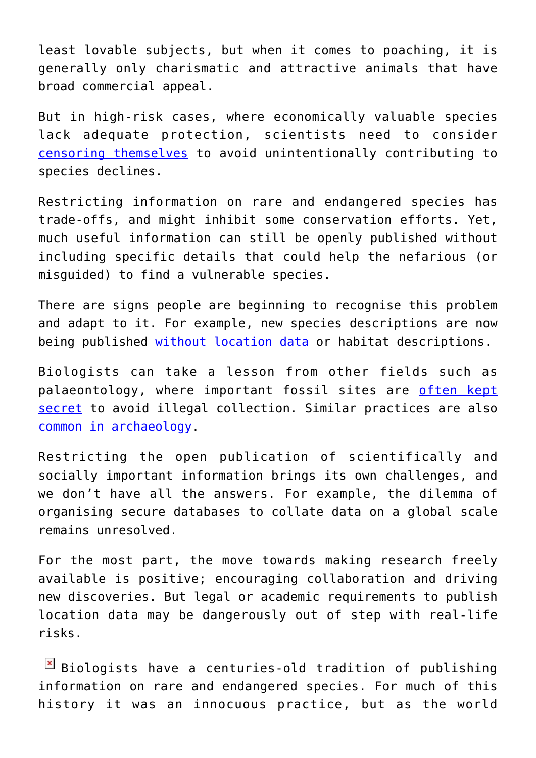least lovable subjects, but when it comes to poaching, it is generally only charismatic and attractive animals that have broad commercial appeal.

But in high-risk cases, where economically valuable species lack adequate protection, scientists need to consider [censoring themselves](http://www.sciencedirect.com/science/article/pii/S0006320714001293) to avoid unintentionally contributing to species declines.

Restricting information on rare and endangered species has trade-offs, and might inhibit some conservation efforts. Yet, much useful information can still be openly published without including specific details that could help the nefarious (or misguided) to find a vulnerable species.

There are signs people are beginning to recognise this problem and adapt to it. For example, new species descriptions are now being published [without location data](https://www.biotaxa.org/Zootaxa/article/view/zootaxa.3980.1.4) or habitat descriptions.

Biologists can take a lesson from other fields such as palaeontology, where important fossil sites are [often kept](https://theconversation.com/its-time-to-stop-the-fossil-trade-in-its-tracks-and-heres-how-26330) [secret](https://theconversation.com/its-time-to-stop-the-fossil-trade-in-its-tracks-and-heres-how-26330) to avoid illegal collection. Similar practices are also [common in archaeology](https://link.springer.com/article/10.1007/s11759-008-9073-9).

Restricting the open publication of scientifically and socially important information brings its own challenges, and we don't have all the answers. For example, the dilemma of organising secure databases to collate data on a global scale remains unresolved.

For the most part, the move towards making research freely available is positive; encouraging collaboration and driving new discoveries. But legal or academic requirements to publish location data may be dangerously out of step with real-life risks.

 $\boxed{\times}$  Biologists have a centuries-old tradition of publishing information on rare and endangered species. For much of this history it was an innocuous practice, but as the world